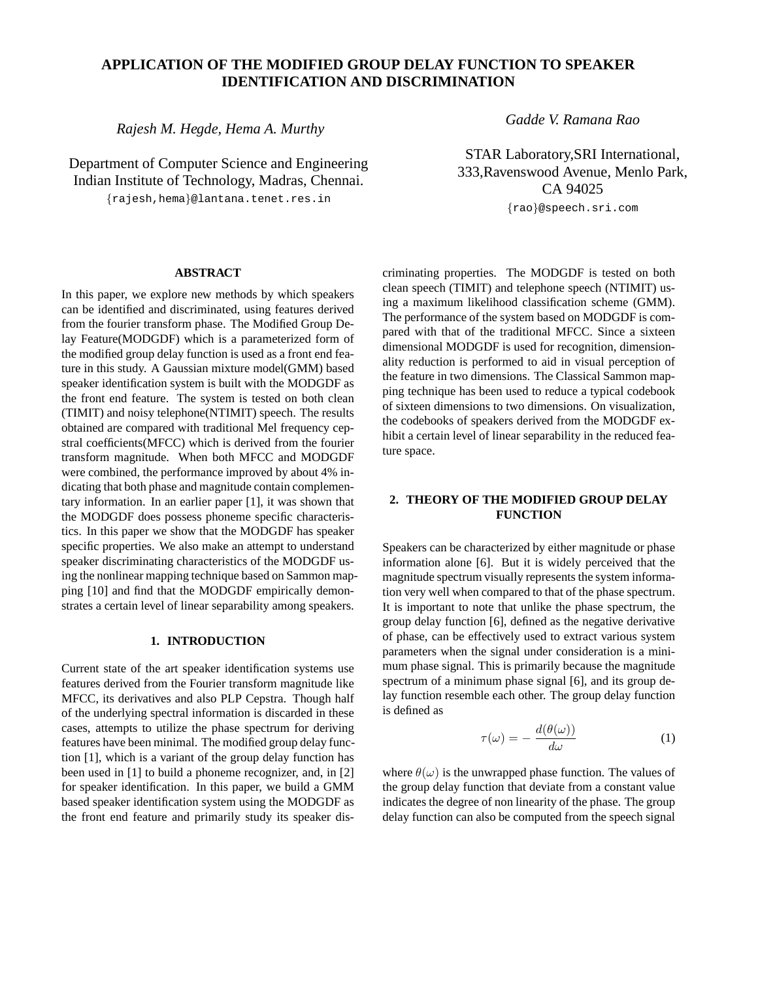# **APPLICATION OF THE MODIFIED GROUP DELAY FUNCTION TO SPEAKER IDENTIFICATION AND DISCRIMINATION**

*Rajesh M. Hegde, Hema A. Murthy*

Department of Computer Science and Engineering Indian Institute of Technology, Madras, Chennai. {rajesh,hema}@lantana.tenet.res.in

*Gadde V. Ramana Rao*

STAR Laboratory,SRI International, 333,Ravenswood Avenue, Menlo Park, CA 94025 {rao}@speech.sri.com

## **ABSTRACT**

In this paper, we explore new methods by which speakers can be identified and discriminated, using features derived from the fourier transform phase. The Modified Group Delay Feature(MODGDF) which is a parameterized form of the modified group delay function is used as a front end feature in this study. A Gaussian mixture model(GMM) based speaker identification system is built with the MODGDF as the front end feature. The system is tested on both clean (TIMIT) and noisy telephone(NTIMIT) speech. The results obtained are compared with traditional Mel frequency cepstral coefficients(MFCC) which is derived from the fourier transform magnitude. When both MFCC and MODGDF were combined, the performance improved by about 4% indicating that both phase and magnitude contain complementary information. In an earlier paper [1], it was shown that the MODGDF does possess phoneme specific characteristics. In this paper we show that the MODGDF has speaker specific properties. We also make an attempt to understand speaker discriminating characteristics of the MODGDF using the nonlinear mapping technique based on Sammon mapping [10] and find that the MODGDF empirically demonstrates a certain level of linear separability among speakers.

## **1. INTRODUCTION**

Current state of the art speaker identification systems use features derived from the Fourier transform magnitude like MFCC, its derivatives and also PLP Cepstra. Though half of the underlying spectral information is discarded in these cases, attempts to utilize the phase spectrum for deriving features have been minimal. The modified group delay function [1], which is a variant of the group delay function has been used in [1] to build a phoneme recognizer, and, in [2] for speaker identification. In this paper, we build a GMM based speaker identification system using the MODGDF as the front end feature and primarily study its speaker discriminating properties. The MODGDF is tested on both clean speech (TIMIT) and telephone speech (NTIMIT) using a maximum likelihood classification scheme (GMM). The performance of the system based on MODGDF is compared with that of the traditional MFCC. Since a sixteen dimensional MODGDF is used for recognition, dimensionality reduction is performed to aid in visual perception of the feature in two dimensions. The Classical Sammon mapping technique has been used to reduce a typical codebook of sixteen dimensions to two dimensions. On visualization, the codebooks of speakers derived from the MODGDF exhibit a certain level of linear separability in the reduced feature space.

## **2. THEORY OF THE MODIFIED GROUP DELAY FUNCTION**

Speakers can be characterized by either magnitude or phase information alone [6]. But it is widely perceived that the magnitude spectrum visually represents the system information very well when compared to that of the phase spectrum. It is important to note that unlike the phase spectrum, the group delay function [6], defined as the negative derivative of phase, can be effectively used to extract various system parameters when the signal under consideration is a minimum phase signal. This is primarily because the magnitude spectrum of a minimum phase signal [6], and its group delay function resemble each other. The group delay function is defined as

$$
\tau(\omega) = -\frac{d(\theta(\omega))}{d\omega} \tag{1}
$$

where  $\theta(\omega)$  is the unwrapped phase function. The values of the group delay function that deviate from a constant value indicates the degree of non linearity of the phase. The group delay function can also be computed from the speech signal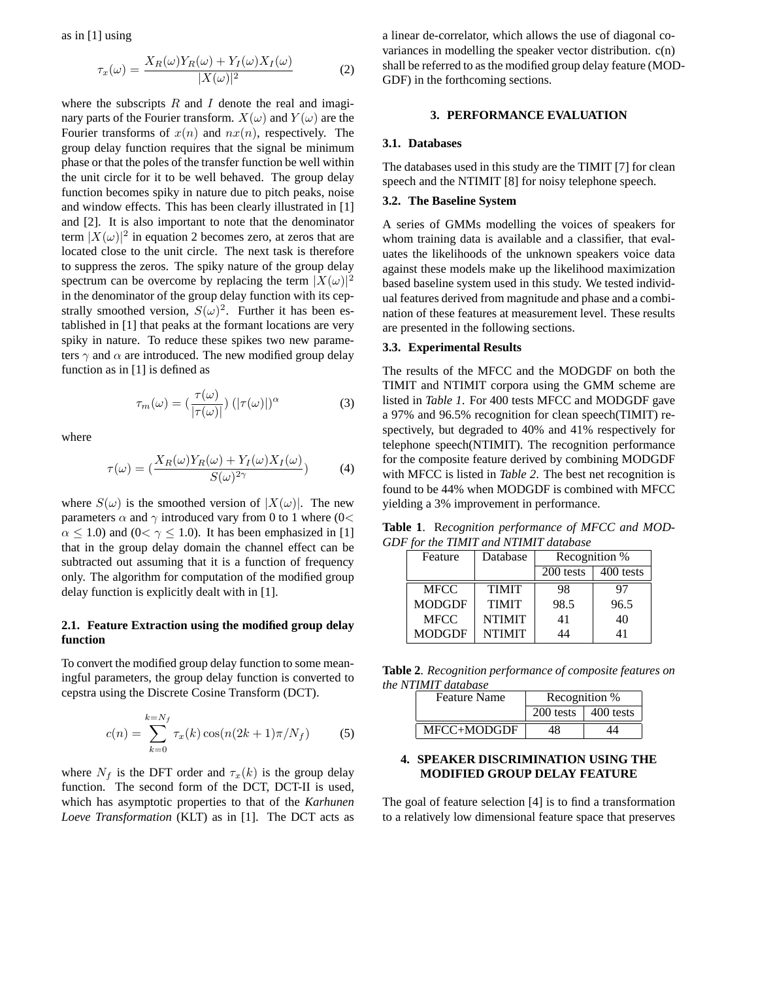as in [1] using

$$
\tau_x(\omega) = \frac{X_R(\omega)Y_R(\omega) + Y_I(\omega)X_I(\omega)}{|X(\omega)|^2} \tag{2}
$$

where the subscripts  $R$  and  $I$  denote the real and imaginary parts of the Fourier transform.  $X(\omega)$  and  $Y(\omega)$  are the Fourier transforms of  $x(n)$  and  $nx(n)$ , respectively. The group delay function requires that the signal be minimum phase or that the poles of the transfer function be well within the unit circle for it to be well behaved. The group delay function becomes spiky in nature due to pitch peaks, noise and window effects. This has been clearly illustrated in [1] and [2]. It is also important to note that the denominator term  $|X(\omega)|^2$  in equation 2 becomes zero, at zeros that are located close to the unit circle. The next task is therefore to suppress the zeros. The spiky nature of the group delay spectrum can be overcome by replacing the term  $|X(\omega)|^2$ in the denominator of the group delay function with its cepstrally smoothed version,  $S(\omega)^2$ . Further it has been established in [1] that peaks at the formant locations are very spiky in nature. To reduce these spikes two new parameters  $\gamma$  and  $\alpha$  are introduced. The new modified group delay function as in [1] is defined as

$$
\tau_m(\omega) = \left(\frac{\tau(\omega)}{|\tau(\omega)|}\right) \left(|\tau(\omega)|\right)^\alpha \tag{3}
$$

where

$$
\tau(\omega) = \left(\frac{X_R(\omega)Y_R(\omega) + Y_I(\omega)X_I(\omega)}{S(\omega)^{2\gamma}}\right) \tag{4}
$$

where  $S(\omega)$  is the smoothed version of  $|X(\omega)|$ . The new parameters  $\alpha$  and  $\gamma$  introduced vary from 0 to 1 where (0<  $\alpha \leq 1.0$ ) and  $(0 < \gamma \leq 1.0)$ . It has been emphasized in [1] that in the group delay domain the channel effect can be subtracted out assuming that it is a function of frequency only. The algorithm for computation of the modified group delay function is explicitly dealt with in [1].

## **2.1. Feature Extraction using the modified group delay function**

To convert the modified group delay function to some meaningful parameters, the group delay function is converted to cepstra using the Discrete Cosine Transform (DCT).

$$
c(n) = \sum_{k=0}^{k=N_f} \tau_x(k) \cos(n(2k+1)\pi/N_f)
$$
 (5)

where  $N_f$  is the DFT order and  $\tau_x(k)$  is the group delay function. The second form of the DCT, DCT-II is used, which has asymptotic properties to that of the *Karhunen Loeve Transformation* (KLT) as in [1]. The DCT acts as a linear de-correlator, which allows the use of diagonal covariances in modelling the speaker vector distribution. c(n) shall be referred to as the modified group delay feature (MOD-GDF) in the forthcoming sections.

#### **3. PERFORMANCE EVALUATION**

#### **3.1. Databases**

The databases used in this study are the TIMIT [7] for clean speech and the NTIMIT [8] for noisy telephone speech.

#### **3.2. The Baseline System**

A series of GMMs modelling the voices of speakers for whom training data is available and a classifier, that evaluates the likelihoods of the unknown speakers voice data against these models make up the likelihood maximization based baseline system used in this study. We tested individual features derived from magnitude and phase and a combination of these features at measurement level. These results are presented in the following sections.

## **3.3. Experimental Results**

The results of the MFCC and the MODGDF on both the TIMIT and NTIMIT corpora using the GMM scheme are listed in *Table 1*. For 400 tests MFCC and MODGDF gave a 97% and 96.5% recognition for clean speech(TIMIT) respectively, but degraded to 40% and 41% respectively for telephone speech(NTIMIT). The recognition performance for the composite feature derived by combining MODGDF with MFCC is listed in *Table 2*. The best net recognition is found to be 44% when MODGDF is combined with MFCC yielding a 3% improvement in performance.

**Table 1**. R*ecognition performance of MFCC and MOD-GDF for the TIMIT and NTIMIT database*

| Feature       | Database      | Recognition % |           |
|---------------|---------------|---------------|-----------|
|               |               | 200 tests     | 400 tests |
| <b>MFCC</b>   | <b>TIMIT</b>  | 98            | 97        |
| <b>MODGDF</b> | <b>TIMIT</b>  | 98.5          | 96.5      |
| <b>MFCC</b>   | <b>NTIMIT</b> | 41            | 40        |
| <b>MODGDF</b> | <b>NTIMIT</b> | 14            |           |

**Table 2**. *Recognition performance of composite features on the NTIMIT database*

| <b>Feature Name</b> | Recognition %                 |    |
|---------------------|-------------------------------|----|
|                     | $200$ tests $\vert$ 400 tests |    |
| MFCC+MODGDF         | 48                            | 14 |

## **4. SPEAKER DISCRIMINATION USING THE MODIFIED GROUP DELAY FEATURE**

The goal of feature selection [4] is to find a transformation to a relatively low dimensional feature space that preserves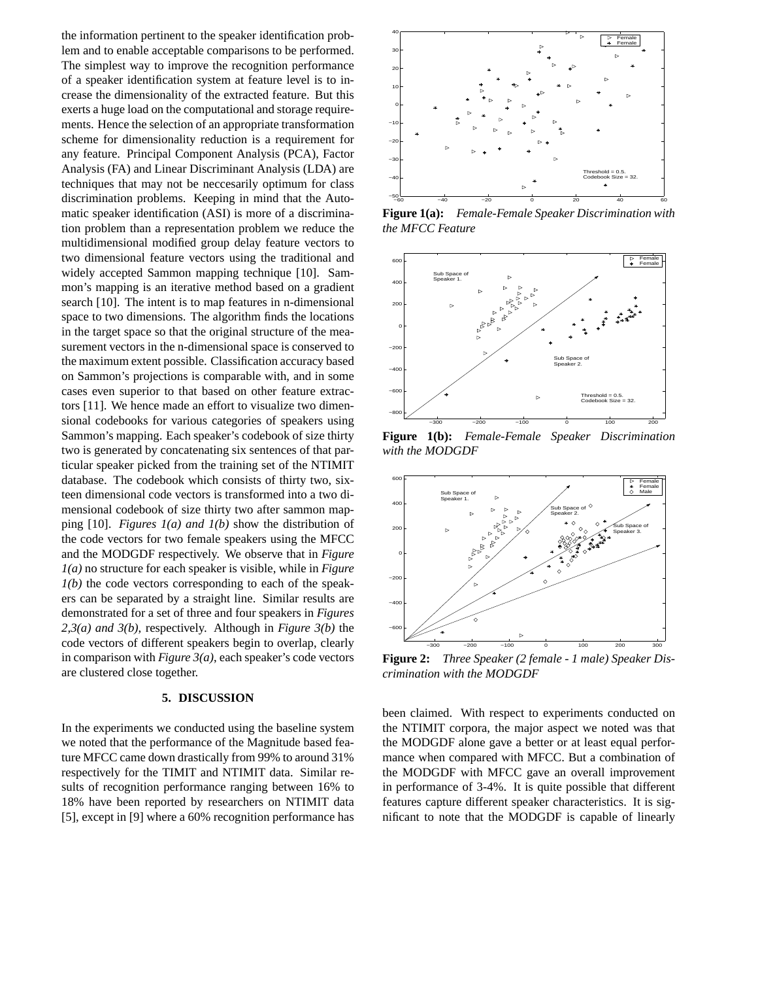the information pertinent to the speaker identification problem and to enable acceptable comparisons to be performed. The simplest way to improve the recognition performance of a speaker identification system at feature level is to increase the dimensionality of the extracted feature. But this exerts a huge load on the computational and storage requirements. Hence the selection of an appropriate transformation scheme for dimensionality reduction is a requirement for any feature. Principal Component Analysis (PCA), Factor Analysis (FA) and Linear Discriminant Analysis (LDA) are techniques that may not be neccesarily optimum for class discrimination problems. Keeping in mind that the Automatic speaker identification (ASI) is more of a discrimination problem than a representation problem we reduce the multidimensional modified group delay feature vectors to two dimensional feature vectors using the traditional and widely accepted Sammon mapping technique [10]. Sammon's mapping is an iterative method based on a gradient search [10]. The intent is to map features in n-dimensional space to two dimensions. The algorithm finds the locations in the target space so that the original structure of the measurement vectors in the n-dimensional space is conserved to the maximum extent possible. Classification accuracy based on Sammon's projections is comparable with, and in some cases even superior to that based on other feature extractors [11]. We hence made an effort to visualize two dimensional codebooks for various categories of speakers using Sammon's mapping. Each speaker's codebook of size thirty two is generated by concatenating six sentences of that particular speaker picked from the training set of the NTIMIT database. The codebook which consists of thirty two, sixteen dimensional code vectors is transformed into a two dimensional codebook of size thirty two after sammon mapping [10]. *Figures 1(a) and 1(b)* show the distribution of the code vectors for two female speakers using the MFCC and the MODGDF respectively. We observe that in *Figure 1(a)* no structure for each speaker is visible, while in *Figure 1(b)* the code vectors corresponding to each of the speakers can be separated by a straight line. Similar results are demonstrated for a set of three and four speakers in *Figures 2,3(a) and 3(b)*, respectively. Although in *Figure 3(b)* the code vectors of different speakers begin to overlap, clearly in comparison with *Figure 3(a)*, each speaker's code vectors are clustered close together.

#### **5. DISCUSSION**

In the experiments we conducted using the baseline system we noted that the performance of the Magnitude based feature MFCC came down drastically from 99% to around 31% respectively for the TIMIT and NTIMIT data. Similar results of recognition performance ranging between 16% to 18% have been reported by researchers on NTIMIT data [5], except in [9] where a 60% recognition performance has



**Figure 1(a):** *Female-Female Speaker Discrimination with the MFCC Feature*



**Figure 1(b):** *Female-Female Speaker Discrimination with the MODGDF*



**Figure 2:** *Three Speaker (2 female - 1 male) Speaker Discrimination with the MODGDF*

been claimed. With respect to experiments conducted on the NTIMIT corpora, the major aspect we noted was that the MODGDF alone gave a better or at least equal performance when compared with MFCC. But a combination of the MODGDF with MFCC gave an overall improvement in performance of 3-4%. It is quite possible that different features capture different speaker characteristics. It is significant to note that the MODGDF is capable of linearly